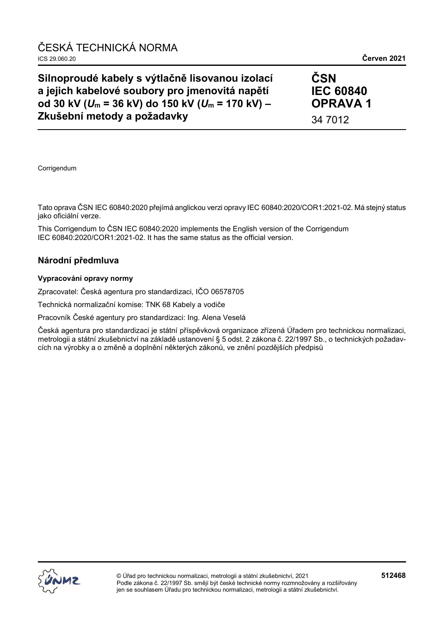## **Silnoproudé kabely s výtlačně lisovanou izolací a jejich kabelové soubory pro jmenovitá napětí od 30 kV (***U***<sup>m</sup> = 36 kV) do 150 kV (***U***<sup>m</sup> = 170 kV) – Zkušební metody a požadavky**

**ČSN IEC 60840 OPRAVA 1** 34 7012

**Corrigendum** 

Tato oprava ČSN IEC 60840:2020 přejímá anglickou verzi opravy IEC 60840:2020/COR1:2021-02. Má stejný status jako oficiální verze.

This Corrigendum to ČSN IEC 60840:2020 implements the English version of the Corrigendum IEC 60840:2020/COR1:2021-02. It has the same status as the official version.

#### **Národní předmluva**

#### **Vypracování opravy normy**

Zpracovatel: Česká agentura pro standardizaci, IČO 06578705

Technická normalizační komise: TNK 68 Kabely a vodiče

Pracovník České agentury pro standardizaci: Ing. Alena Veselá

Česká agentura pro standardizaci je státní příspěvková organizace zřízená Úřadem pro technickou normalizaci, metrologii a státní zkušebnictví na základě ustanovení § 5 odst. 2 zákona č. 22/1997 Sb., o technických požadavcích na výrobky a o změně a doplnění některých zákonů, ve znění pozdějších předpisů

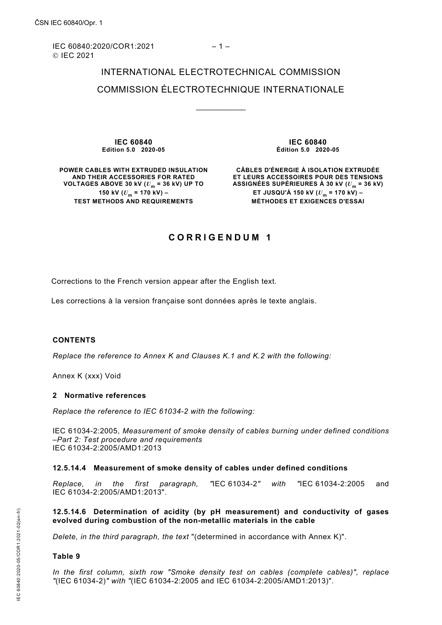IEC 60840:2020/COR1:2021 – 1 – © IEC 2021

# INTERNATIONAL ELECTROTECHNICAL COMMISSION COMMISSION ÉLECTROTECHNIQUE INTERNATIONALE

\_\_\_\_\_\_\_\_\_\_\_\_

**IEC 60840 Edition 5.0 2020-05**

**IEC 60840 Édition 5.0 2020-05**

**POWER CABLES WITH EXTRUDED INSULATION AND THEIR ACCESSORIES FOR RATED VOLTAGES ABOVE 30 kV (***U***<sup>m</sup> = 36 kV) UP TO 150 kV**  $(U_m = 170 \text{ kV})$  – **TEST METHODS AND REQUIREMENTS**

**CÂBLES D'ÉNERGIE À ISOLATION EXTRUDÉE ET LEURS ACCESSOIRES POUR DES TENSIONS**  ASSIGNÉES SUPÉRIEURES À 30 kV  $(U_m = 36 \text{ kV})$ **ET JUSQU'À 150 kV (***U***<sup>m</sup> = 170 kV) – MÉTHODES ET EXIGENCES D'ESSAI**

### **CORRIGENDUM 1**

Corrections to the French version appear after the English text.

Les corrections à la version française sont données après le texte anglais.

#### **CONTENTS**

*Replace the reference to Annex K and Clauses K.1 and K.2 with the following:*

Annex K (xxx) Void

#### **2 Normative references**

*Replace the reference to IEC 61034-2 with the following:*

IEC 61034-2:2005, *Measurement of smoke density of cables burning under defined conditions –Part 2: Test procedure and requirements*  IEC 61034-2:2005/AMD1:2013

#### **12.5.14.4 Measurement of smoke density of cables under defined conditions**

*Replace, in the first paragraph, "*IEC 61034-2*" with "*IEC 61034-2:2005 and IEC 61034-2:2005/AMD1:2013".

#### **12.5.14.6 Determination of acidity (by pH measurement) and conductivity of gases evolved during combustion of the non-metallic materials in the cable**

*Delete, in the third paragraph, the text* "(determined in accordance with Annex K)".

#### **Table 9**

*In the first column, sixth row "Smoke density test on cables (complete cables)", replace "*(IEC 61034-2)*" with "*(IEC 61034-2:2005 and IEC 61034-2:2005/AMD1:2013)".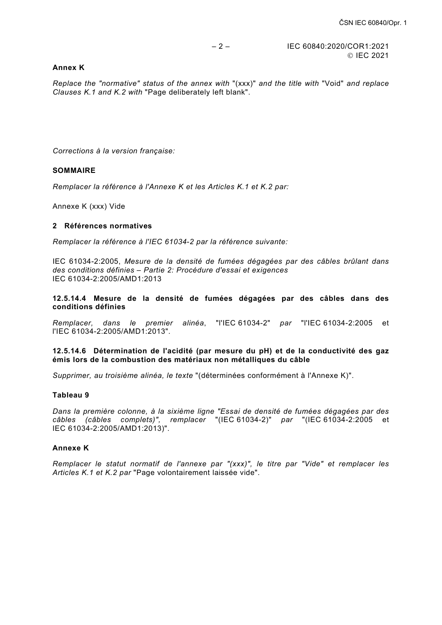#### **Annex K**

*Replace the "normative" status of the annex with* "(xxx)" *and the title with* "Void" *and replace Clauses K.1 and K.2 with* "Page deliberately left blank".

*Corrections à la version française:*

#### **SOMMAIRE**

*Remplacer la référence à l'Annexe K et les Articles K.1 et K.2 par:*

Annexe K (xxx) Vide

#### **2 Références normatives**

*Remplacer la référence à l'IEC 61034-2 par la référence suivante:*

IEC 61034-2:2005, *Mesure de la densité de fumées dégagées par des câbles brûlant dans des conditions définies – Partie 2: Procédure d'essai et exigences* IEC 61034-2:2005/AMD1:2013

**12.5.14.4 Mesure de la densité de fumées dégagées par des câbles dans des conditions définies**

*Remplacer, dans le premier alinéa*, "l'IEC 61034-2" *par* "l'IEC 61034-2:2005 et l'IEC 61034-2:2005/AMD1:2013".

#### **12.5.14.6 Détermination de l'acidité (par mesure du pH) et de la conductivité des gaz émis lors de la combustion des matériaux non métalliques du câble**

*Supprimer, au troisième alinéa, le texte* "(déterminées conformément à l'Annexe K)".

#### **Tableau 9**

*Dans la première colonne, à la sixième ligne "Essai de densité de fumées dégagées par des câbles (câbles complets)", remplacer* "(IEC 61034-2)" *par* "(IEC 61034-2:2005 et IEC 61034-2:2005/AMD1:2013)".

#### **Annexe K**

*Remplacer le statut normatif de l'annexe par "(xxx)", le titre par "Vide" et remplacer les Articles K.1 et K.2 par* "Page volontairement laissée vide".